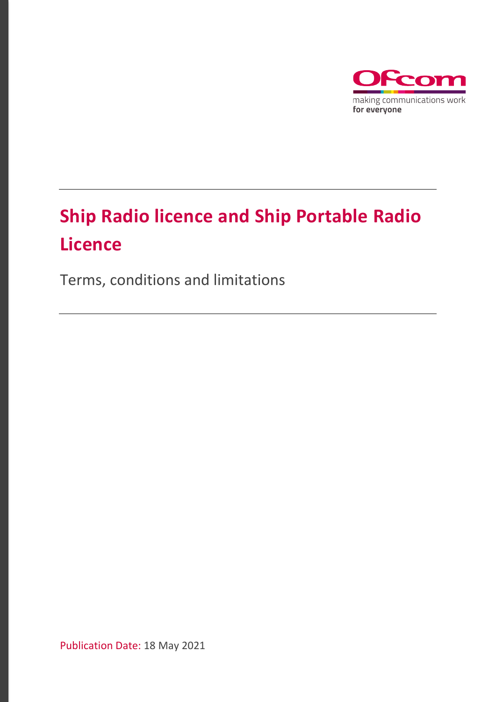

# **Ship Radio licence and Ship Portable Radio Licence**

Terms, conditions and limitations

Publication Date: 18 May 2021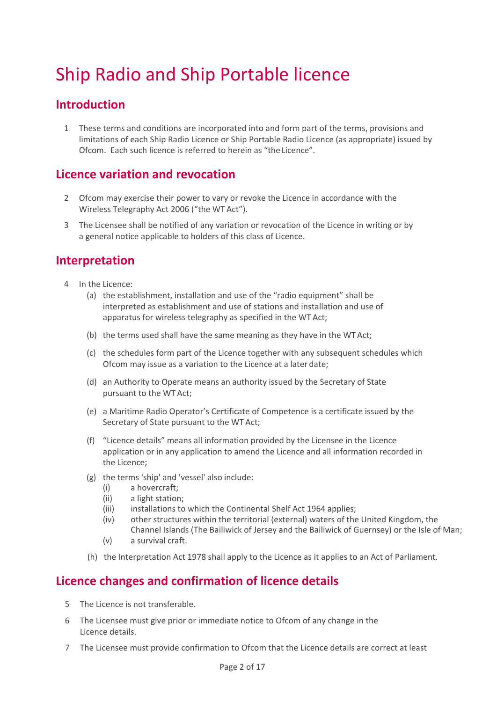# Ship Radio and Ship Portable licence

## **Introduction**

1 These terms and conditions are incorporated into and form part of the terms, provisions and limitations of each Ship Radio Licence or Ship Portable Radio Licence (as appropriate) issued by Ofcom. Each such licence is referred to herein as "the Licence".

## **Licence variation and revocation**

- 2 Ofcom may exercise their power to vary or revoke the Licence in accordance with the Wireless Telegraphy Act 2006 ("the WT Act").
- 3 The Licensee shall be notified of any variation or revocation of the Licence in writing or by a general notice applicable to holders of this class of Licence.

## **Interpretation**

- 4 In the Licence:
	- (a) the establishment, installation and use of the "radio equipment" shall be interpreted as establishment and use of stations and installation and use of apparatus for wireless telegraphy as specified in the WT Act;
	- (b) the terms used shall have the same meaning as they have in the WT Act;
	- (c) the schedules form part of the Licence together with any subsequent schedules which Ofcom may issue as a variation to the Licence at a later date;
	- (d) an Authority to Operate means an authority issued by the Secretary of State pursuant to the WT Act;
	- (e) a Maritime Radio Operator's Certificate of Competence is a certificate issued by the Secretary of State pursuant to the WT Act;
	- (f) "Licence details" means all information provided by the Licensee in the Licence application or in any application to amend the Licence and all information recorded in the Licence;
	- (g) the terms 'ship' and 'vessel' also include:
		- (i) a hovercraft;
		- (ii) a light station;
		- (iii) installations to which the Continental Shelf Act 1964 applies;
		- (iv) other structures within the territorial (external) waters of the United Kingdom, the Channel Islands (The Bailiwick of Jersey and the Bailiwick of Guernsey) or the Isle of Man;
		- (v) a survival craft.
	- (h) the Interpretation Act 1978 shall apply to the Licence as it applies to an Act of Parliament.

## **Licence changes and confirmation of licence details**

- 5 The Licence is not transferable.
- 6 The Licensee must give prior or immediate notice to Ofcom of any change in the Licence details.
- 7 The Licensee must provide confirmation to Ofcom that the Licence details are correct at least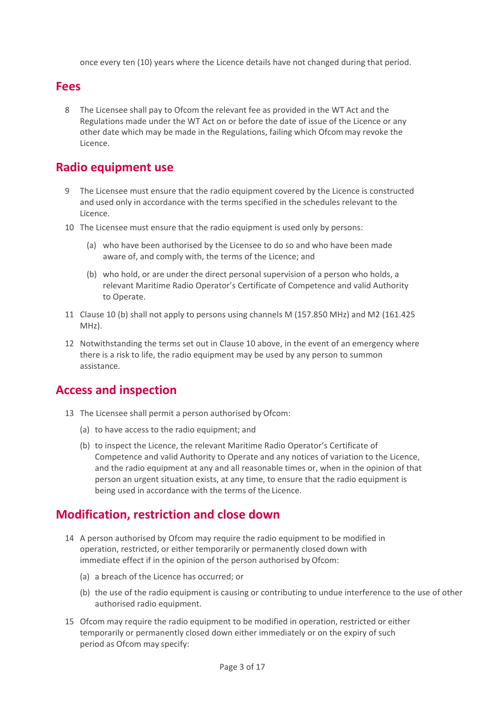once every ten (10) years where the Licence details have not changed during that period.

#### **Fees**

8 The Licensee shall pay to Ofcom the relevant fee as provided in the WT Act and the Regulations made under the WT Act on or before the date of issue of the Licence or any other date which may be made in the Regulations, failing which Ofcommay revoke the Licence.

### **Radio equipment use**

- 9 The Licensee must ensure that the radio equipment covered by the Licence is constructed and used only in accordance with the terms specified in the schedules relevant to the Licence.
- 10 The Licensee must ensure that the radio equipment is used only by persons:
	- (a) who have been authorised by the Licensee to do so and who have been made aware of, and comply with, the terms of the Licence; and
	- (b) who hold, or are under the direct personal supervision of a person who holds, a relevant Maritime Radio Operator's Certificate of Competence and valid Authority to Operate.
- 11 Clause 10 (b) shall not apply to persons using channels M (157.850 MHz) and M2 (161.425 MHz).
- 12 Notwithstanding the terms set out in Clause 10 above, in the event of an emergency where there is a risk to life, the radio equipment may be used by any person to summon assistance.

### **Access and inspection**

- 13 The Licensee shall permit a person authorised by Ofcom:
	- (a) to have access to the radio equipment; and
	- (b) to inspect the Licence, the relevant Maritime Radio Operator's Certificate of Competence and valid Authority to Operate and any notices of variation to the Licence, and the radio equipment at any and all reasonable times or, when in the opinion of that person an urgent situation exists, at any time, to ensure that the radio equipment is being used in accordance with the terms of the Licence.

### **Modification, restriction and close down**

- 14 A person authorised by Ofcom may require the radio equipment to be modified in operation, restricted, or either temporarily or permanently closed down with immediate effect if in the opinion of the person authorised by Ofcom:
	- (a) a breach of the Licence has occurred; or
	- (b) the use of the radio equipment is causing or contributing to undue interference to the use of other authorised radio equipment.
- 15 Ofcom may require the radio equipment to be modified in operation, restricted or either temporarily or permanently closed down either immediately or on the expiry of such period as Ofcom may specify: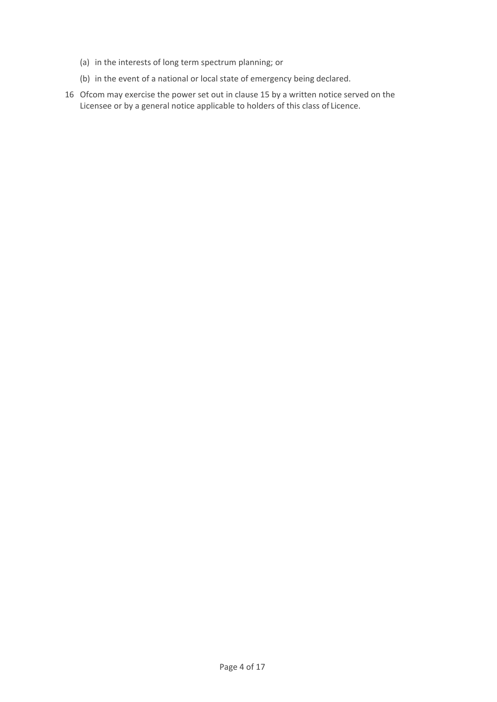- (a) in the interests of long term spectrum planning; or
- (b) in the event of a national or local state of emergency being declared.
- 16 Ofcom may exercise the power set out in clause 15 by a written notice served on the Licensee or by a general notice applicable to holders of this class of Licence.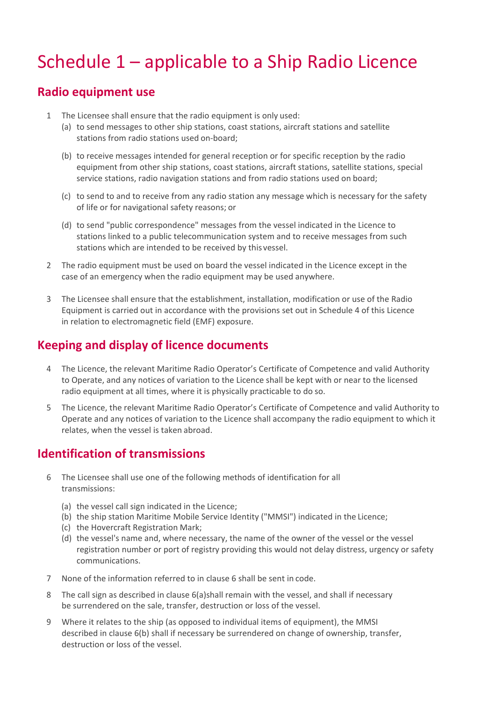## Schedule 1 – applicable to a Ship Radio Licence

### **Radio equipment use**

- 1 The Licensee shall ensure that the radio equipment is only used:
	- (a) to send messages to other ship stations, coast stations, aircraft stations and satellite stations from radio stations used on-board;
	- (b) to receive messages intended for general reception or for specific reception by the radio equipment from other ship stations, coast stations, aircraft stations, satellite stations, special service stations, radio navigation stations and from radio stations used on board;
	- (c) to send to and to receive from any radio station any message which is necessary for the safety of life or for navigational safety reasons; or
	- (d) to send "public correspondence" messages from the vessel indicated in the Licence to stations linked to a public telecommunication system and to receive messages from such stations which are intended to be received by this vessel.
- 2 The radio equipment must be used on board the vessel indicated in the Licence except in the case of an emergency when the radio equipment may be used anywhere.
- 3 The Licensee shall ensure that the establishment, installation, modification or use of the Radio Equipment is carried out in accordance with the provisions set out in Schedule 4 of this Licence in relation to electromagnetic field (EMF) exposure.

## **Keeping and display of licence documents**

- 4 The Licence, the relevant Maritime Radio Operator's Certificate of Competence and valid Authority to Operate, and any notices of variation to the Licence shall be kept with or near to the licensed radio equipment at all times, where it is physically practicable to do so.
- 5 The Licence, the relevant Maritime Radio Operator's Certificate of Competence and valid Authority to Operate and any notices of variation to the Licence shall accompany the radio equipment to which it relates, when the vessel is taken abroad.

## **Identification of transmissions**

- <span id="page-4-1"></span><span id="page-4-0"></span>6 The Licensee shall use one of the following methods of identification for all transmissions:
	- (a) the vessel call sign indicated in the Licence;
	- (b) the ship station Maritime Mobile Service Identity ("MMSI") indicated in the Licence;
	- (c) the Hovercraft Registration Mark;
	- (d) the vessel's name and, where necessary, the name of the owner of the vessel or the vessel registration number or port of registry providing this would not delay distress, urgency or safety communications.
- 7 None of the information referred to in clause 6 shall be sent in code.
- 8 The call sign as described in clause [6\(a\)s](#page-4-0)hall remain with the vessel, and shall if necessary be surrendered on the sale, transfer, destruction or loss of the vessel.
- 9 Where it relates to the ship (as opposed to individual items of equipment), the MMSI described in clause [6\(b\)](#page-4-1) shall if necessary be surrendered on change of ownership, transfer, destruction or loss of the vessel.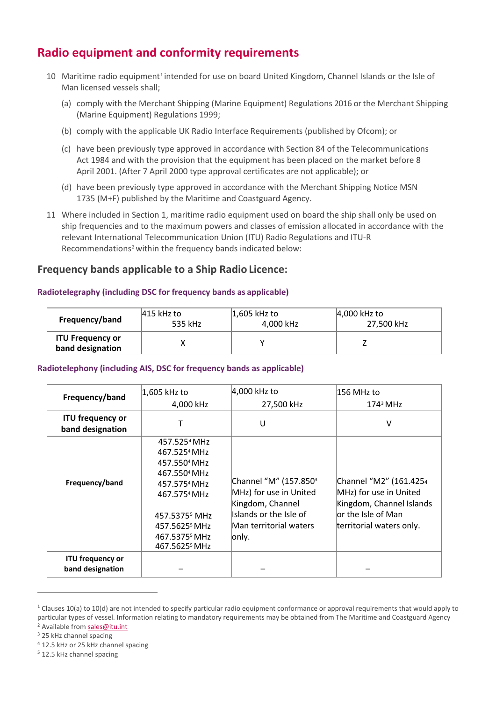## **Radio equipment and conformity requirements**

- [1](#page-5-3)0 Maritime radio equipment<sup>1</sup> intended for use on board United Kingdom, Channel Islands or the Isle of Man licensed vessels shall;
	- (a) comply with the Merchant Shipping (Marine Equipment) Regulations 2016 or the Merchant Shipping (Marine Equipment) Regulations 1999;
	- (b) comply with the applicable UK Radio Interface Requirements (published by Ofcom); or
	- (c) have been previously type approved in accordance with Section 84 of the Telecommunications Act 1984 and with the provision that the equipment has been placed on the market before 8 April 2001. (After 7 April 2000 type approval certificates are not applicable); or
	- (d) have been previously type approved in accordance with the Merchant Shipping Notice MSN 1735 (M+F) published by the Maritime and Coastguard Agency.
- 11 Where included in Section 1, maritime radio equipment used on board the ship shall only be used on ship frequencies and to the maximum powers and classes of emission allocated in accordance with the relevant International Telecommunication Union (ITU) Radio Regulations and ITU-R Recommendations<sup>[2](#page-5-4)</sup> within the frequency bands indicated below:

#### **Frequency bands applicable to a Ship Radio Licence:**

#### **Radiotelegraphy (including DSC for frequency bands as applicable)**

| Frequency/band                              | 415 kHz to | $ 1,605$ kHz to | 4,000 kHz to |
|---------------------------------------------|------------|-----------------|--------------|
|                                             | 535 kHz    | 4,000 kHz       | 27,500 kHz   |
| <b>ITU Frequency or</b><br>band designation |            |                 |              |

#### **Radiotelephony (including AIS, DSC for frequency bands as applicable)**

<span id="page-5-2"></span><span id="page-5-0"></span>

| Frequency/band                              | 1,605 kHz to<br>4,000 kHz                                                                                                                                                                                                                                                                | 4,000 kHz to<br>27,500 kHz                                                                                                                   | l156 MHz to<br>$1743$ MHz                                                                                                       |
|---------------------------------------------|------------------------------------------------------------------------------------------------------------------------------------------------------------------------------------------------------------------------------------------------------------------------------------------|----------------------------------------------------------------------------------------------------------------------------------------------|---------------------------------------------------------------------------------------------------------------------------------|
| <b>ITU frequency or</b><br>band designation |                                                                                                                                                                                                                                                                                          | U                                                                                                                                            | $\vee$                                                                                                                          |
| Frequency/band                              | 457.525 <sup>4</sup> MHz<br>467.525 <sup>4</sup> MHz<br>457.550 <sup>4</sup> MHz<br>467.550 <sup>4</sup> MHz<br>457.575 <sup>4</sup> MHz<br>467.575 <sup>4</sup> MHz<br>457.5375 <sup>5</sup> MHz<br>457.5625 <sup>5</sup> MHz<br>467.5375 <sup>5</sup> MHz<br>467.5625 <sup>5</sup> MHz | Channel "M" (157.850 <sup>3</sup><br>MHz) for use in United<br>Kingdom, Channel<br>Islands or the Isle of<br>Man territorial waters<br>only. | Channel "M2" (161.4254<br>MHz) for use in United<br>Kingdom, Channel Islands<br>lor the Isle of Man<br>territorial waters only. |
| <b>ITU frequency or</b><br>band designation |                                                                                                                                                                                                                                                                                          |                                                                                                                                              |                                                                                                                                 |

<span id="page-5-3"></span><span id="page-5-1"></span> $1$  Clauses 10(a) to 10(d) are not intended to specify particular radio equipment conformance or approval requirements that would apply to particular types of vessel. Information relating to mandatory requirements may be obtained from The Maritime and Coastguard Agency <sup>2</sup> Available fro[m sales@itu.int](mailto:sales@itu.int)

<span id="page-5-5"></span><span id="page-5-4"></span><sup>3</sup> 25 kHz channel spacing

<span id="page-5-6"></span><sup>4</sup> 12.5 kHz or 25 kHz channel spacing

<span id="page-5-7"></span><sup>5</sup> 12.5 kHz channel spacing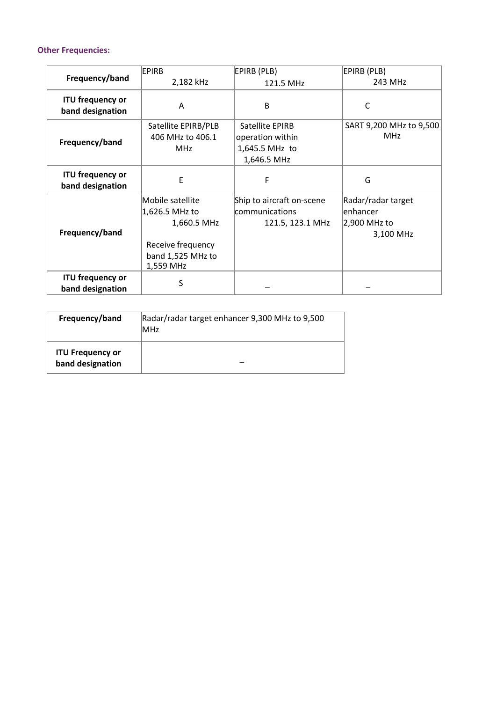#### **Other Frequencies:**

| Frequency/band                              | <b>EPIRB</b>                                                                                             | EPIRB (PLB)                                                     | EPIRB (PLB)                                                 |
|---------------------------------------------|----------------------------------------------------------------------------------------------------------|-----------------------------------------------------------------|-------------------------------------------------------------|
|                                             | 2,182 kHz                                                                                                | 121.5 MHz                                                       | 243 MHz                                                     |
| <b>ITU frequency or</b><br>band designation | A                                                                                                        | B                                                               | C                                                           |
| Frequency/band                              | Satellite EPIRB/PLB<br>406 MHz to 406.1<br><b>MHz</b>                                                    | Satellite EPIRB<br>operation within<br>1,645.5 MHz to           | SART 9,200 MHz to 9,500<br><b>MHz</b>                       |
| <b>ITU frequency or</b><br>band designation | E                                                                                                        | 1,646.5 MHz<br>F                                                | G                                                           |
| Frequency/band                              | Mobile satellite<br>1,626.5 MHz to<br>1,660.5 MHz<br>Receive frequency<br>band 1,525 MHz to<br>1,559 MHz | Ship to aircraft on-scene<br>communications<br>121.5, 123.1 MHz | Radar/radar target<br>enhancer<br>2,900 MHz to<br>3,100 MHz |
| <b>ITU frequency or</b><br>band designation | S                                                                                                        |                                                                 |                                                             |

| Frequency/band                              | Radar/radar target enhancer 9,300 MHz to 9,500<br><b>MHz</b> |  |
|---------------------------------------------|--------------------------------------------------------------|--|
| <b>ITU Frequency or</b><br>band designation |                                                              |  |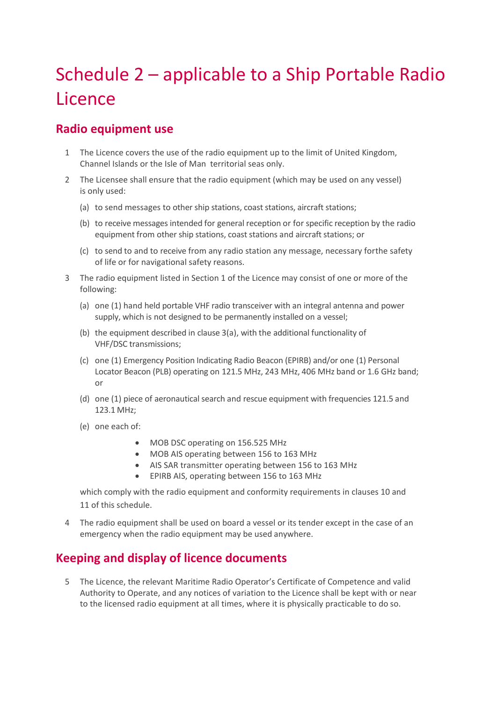# Schedule 2 – applicable to a Ship Portable Radio **Licence**

## **Radio equipment use**

- 1 The Licence covers the use of the radio equipment up to the limit of United Kingdom, Channel Islands or the Isle of Man territorial seas only.
- 2 The Licensee shall ensure that the radio equipment (which may be used on any vessel) is only used:
	- (a) to send messages to other ship stations, coast stations, aircraft stations;
	- (b) to receive messages intended for general reception or for specific reception by the radio equipment from other ship stations, coast stations and aircraft stations; or
	- (c) to send to and to receive from any radio station any message, necessary forthe safety of life or for navigational safety reasons.
- 3 The radio equipment listed in Section 1 of the Licence may consist of one or more of the following:
	- (a) one (1) hand held portable VHF radio transceiver with an integral antenna and power supply, which is not designed to be permanently installed on a vessel;
	- (b) the equipment described in clause 3(a), with the additional functionality of VHF/DSC transmissions;
	- (c) one (1) Emergency Position Indicating Radio Beacon (EPIRB) and/or one (1) Personal Locator Beacon (PLB) operating on 121.5 MHz, 243 MHz, 406 MHz band or 1.6 GHz band; or
	- (d) one (1) piece of aeronautical search and rescue equipment with frequencies 121.5 and 123.1 MHz;
	- (e) one each of:
		- MOB DSC operating on 156.525 MHz
		- MOB AIS operating between 156 to 163 MHz
		- AIS SAR transmitter operating between 156 to 163 MHz
		- EPIRB AIS, operating between 156 to 163 MHz

which comply with the radio equipment and conformity requirements in clauses 10 and 11 of this schedule.

4 The radio equipment shall be used on board a vessel or its tender except in the case of an emergency when the radio equipment may be used anywhere.

## **Keeping and display of licence documents**

5 The Licence, the relevant Maritime Radio Operator's Certificate of Competence and valid Authority to Operate, and any notices of variation to the Licence shall be kept with or near to the licensed radio equipment at all times, where it is physically practicable to do so.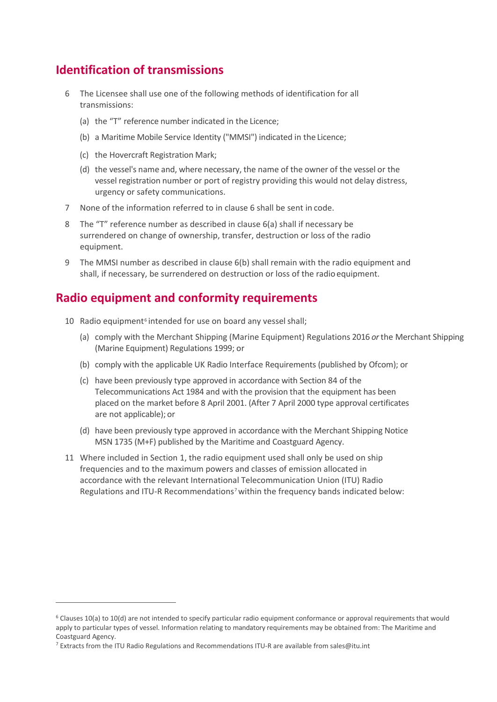## **Identification of transmissions**

- 6 The Licensee shall use one of the following methods of identification for all transmissions:
	- (a) the "T" reference number indicated in the Licence;
	- (b) a Maritime Mobile Service Identity ("MMSI") indicated in the Licence;
	- (c) the Hovercraft Registration Mark;
	- (d) the vessel's name and, where necessary, the name of the owner of the vessel or the vessel registration number or port of registry providing this would not delay distress, urgency or safety communications.
- 7 None of the information referred to in clause 6 shall be sent in code.
- 8 The "T" reference number as described in clause 6(a) shall if necessary be surrendered on change of ownership, transfer, destruction or loss of the radio equipment.
- 9 The MMSI number as described in clause 6(b) shall remain with the radio equipment and shall, if necessary, be surrendered on destruction or loss of the radioequipment.

## **Radio equipment and conformity requirements**

- 10 Radio equipment<sup>[6](#page-8-0)</sup> intended for use on board any vessel shall;
	- (a) comply with the Merchant Shipping (Marine Equipment) Regulations 2016 *or*the Merchant Shipping (Marine Equipment) Regulations 1999; or
	- (b) comply with the applicable UK Radio Interface Requirements (published by Ofcom); or
	- (c) have been previously type approved in accordance with Section 84 of the Telecommunications Act 1984 and with the provision that the equipment has been placed on the market before 8 April 2001. (After 7 April 2000 type approval certificates are not applicable); or
	- (d) have been previously type approved in accordance with the Merchant Shipping Notice MSN 1735 (M+F) published by the Maritime and Coastguard Agency.
- 11 Where included in Section 1, the radio equipment used shall only be used on ship frequencies and to the maximum powers and classes of emission allocated in accordance with the relevant International Telecommunication Union (ITU) Radio Regulations and ITU-R Recommendations<sup>[7](#page-8-1)</sup> within the frequency bands indicated below:

<span id="page-8-0"></span> $6$  Clauses 10(a) to 10(d) are not intended to specify particular radio equipment conformance or approval requirements that would apply to particular types of vessel. Information relating to mandatory requirements may be obtained from: The Maritime and Coastguard Agency.

<span id="page-8-1"></span><sup>7</sup> Extracts from the ITU Radio Regulations and Recommendations ITU-R are available fro[m sales@itu.int](mailto:sales@itu.int)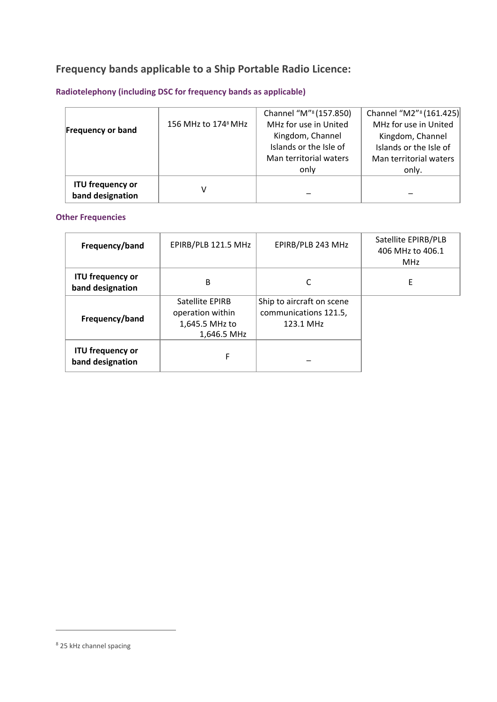## **Frequency bands applicable to a Ship Portable Radio Licence:**

### **Radiotelephony (including DSC for frequency bands as applicable)**

<span id="page-9-0"></span>

| <b>Frequency or band</b>                    | 156 MHz to 174 <sup>8</sup> MHz | Channel "M" <sup>8</sup> (157.850)<br>MHz for use in United<br>Kingdom, Channel<br>Islands or the Isle of<br>Man territorial waters | Channel "M2" <sup>8</sup> (161.425)<br>MHz for use in United<br>Kingdom, Channel<br>Islands or the Isle of<br>Man territorial waters |
|---------------------------------------------|---------------------------------|-------------------------------------------------------------------------------------------------------------------------------------|--------------------------------------------------------------------------------------------------------------------------------------|
|                                             |                                 | only                                                                                                                                | only.                                                                                                                                |
| <b>ITU frequency or</b><br>band designation | v                               |                                                                                                                                     |                                                                                                                                      |

#### **Other Frequencies**

| Frequency/band                              | EPIRB/PLB 121.5 MHz                                                         | EPIRB/PLB 243 MHz                                               | Satellite EPIRB/PLB<br>406 MHz to 406.1<br><b>MHz</b> |
|---------------------------------------------|-----------------------------------------------------------------------------|-----------------------------------------------------------------|-------------------------------------------------------|
| <b>ITU frequency or</b><br>band designation | B                                                                           |                                                                 | E                                                     |
| Frequency/band                              | <b>Satellite EPIRB</b><br>operation within<br>1,645.5 MHz to<br>1,646.5 MHz | Ship to aircraft on scene<br>communications 121.5,<br>123.1 MHz |                                                       |
| <b>ITU frequency or</b><br>band designation | F                                                                           |                                                                 |                                                       |

<span id="page-9-1"></span><sup>8</sup> 25 kHz channel spacing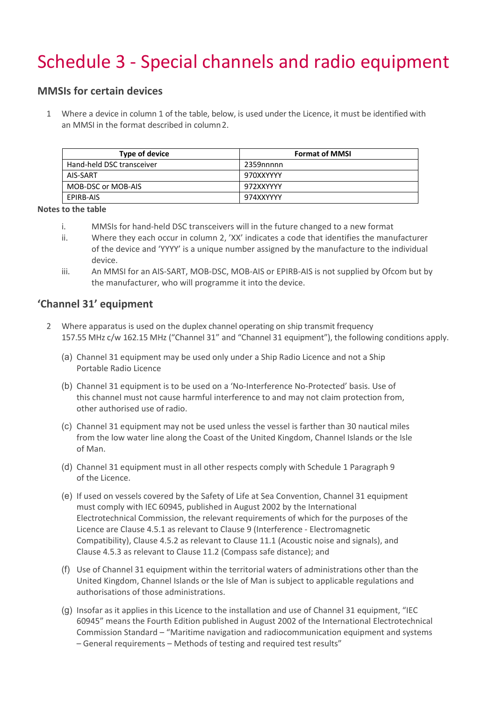# Schedule 3 - Special channels and radio equipment

#### **MMSIs for certain devices**

1 Where a device in column 1 of the table, below, is used under the Licence, it must be identified with an MMSI in the format described in column2.

| Type of device            | <b>Format of MMSI</b> |
|---------------------------|-----------------------|
| Hand-held DSC transceiver | 2359nnnnn             |
| AIS-SART                  | 970XXYYYY             |
| MOB-DSC or MOB-AIS        | 972XXYYYY             |
| EPIRB-AIS                 | 974XXYYYY             |

**Notes to the table**

- i. MMSIs for hand-held DSC transceivers will in the future changed to a new format
- ii. Where they each occur in column 2, 'XX' indicates a code that identifies the manufacturer of the device and 'YYYY' is a unique number assigned by the manufacture to the individual device.
- iii. An MMSI for an AIS-SART, MOB-DSC, MOB-AIS or EPIRB-AIS is not supplied by Ofcom but by the manufacturer, who will programme it into the device.

#### **'Channel 31' equipment**

- 2 Where apparatus is used on the duplex channel operating on ship transmit frequency 157.55 MHz c/w 162.15 MHz ("Channel 31" and "Channel 31 equipment"), the following conditions apply.
	- (a) Channel 31 equipment may be used only under a Ship Radio Licence and not a Ship Portable Radio Licence
	- (b) Channel 31 equipment is to be used on a 'No-Interference No-Protected' basis. Use of this channel must not cause harmful interference to and may not claim protection from, other authorised use of radio.
	- (c) Channel 31 equipment may not be used unless the vessel is farther than 30 nautical miles from the low water line along the Coast of the United Kingdom, Channel Islands or the Isle of Man.
	- (d) Channel 31 equipment must in all other respects comply with Schedule 1 Paragraph 9 of the Licence.
	- (e) If used on vessels covered by the Safety of Life at Sea Convention, Channel 31 equipment must comply with IEC 60945, published in August 2002 by the International Electrotechnical Commission, the relevant requirements of which for the purposes of the Licence are Clause 4.5.1 as relevant to Clause 9 (Interference - Electromagnetic Compatibility), Clause 4.5.2 as relevant to Clause 11.1 (Acoustic noise and signals), and Clause 4.5.3 as relevant to Clause 11.2 (Compass safe distance); and
	- (f) Use of Channel 31 equipment within the territorial waters of administrations other than the United Kingdom, Channel Islands or the Isle of Man is subject to applicable regulations and authorisations of those administrations.
	- (g) Insofar as it applies in this Licence to the installation and use of Channel 31 equipment, "IEC 60945" means the Fourth Edition published in August 2002 of the International Electrotechnical Commission Standard – "Maritime navigation and radiocommunication equipment and systems – General requirements – Methods of testing and required test results"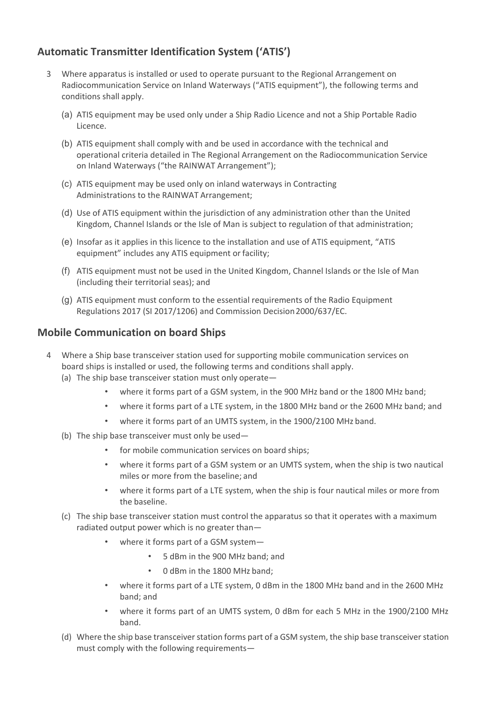### **Automatic Transmitter Identification System ('ATIS')**

- 3 Where apparatus is installed or used to operate pursuant to the Regional Arrangement on Radiocommunication Service on Inland Waterways ("ATIS equipment"), the following terms and conditions shall apply.
	- (a) ATIS equipment may be used only under a Ship Radio Licence and not a Ship Portable Radio Licence.
	- (b) ATIS equipment shall comply with and be used in accordance with the technical and operational criteria detailed in The Regional Arrangement on the Radiocommunication Service on Inland Waterways ("the RAINWAT Arrangement");
	- (c) ATIS equipment may be used only on inland waterways in Contracting Administrations to the RAINWAT Arrangement;
	- (d) Use of ATIS equipment within the jurisdiction of any administration other than the United Kingdom, Channel Islands or the Isle of Man is subject to regulation of that administration;
	- (e) Insofar as it applies in this licence to the installation and use of ATIS equipment, "ATIS equipment" includes any ATIS equipment or facility;
	- (f) ATIS equipment must not be used in the United Kingdom, Channel Islands or the Isle of Man (including their territorial seas); and
	- (g) ATIS equipment must conform to the essential requirements of the Radio Equipment Regulations 2017 (SI 2017/1206) and Commission Decision2000/637/EC.

#### **Mobile Communication on board Ships**

- 4 Where a Ship base transceiver station used for supporting mobile communication services on board ships is installed or used, the following terms and conditions shall apply. (a) The ship base transceiver station must only operate
	- where it forms part of a GSM system, in the 900 MHz band or the 1800 MHz band;
		- where it forms part of a LTE system, in the 1800 MHz band or the 2600 MHz band; and
		- where it forms part of an UMTS system, in the 1900/2100 MHz band.
	- (b) The ship base transceiver must only be used—
		- for mobile communication services on board ships;
		- where it forms part of a GSM system or an UMTS system, when the ship is two nautical miles or more from the baseline; and
		- where it forms part of a LTE system, when the ship is four nautical miles or more from the baseline.
	- (c) The ship base transceiver station must control the apparatus so that it operates with a maximum radiated output power which is no greater than—
		- where it forms part of a GSM system—
			- 5 dBm in the 900 MHz band; and
			- 0 dBm in the 1800 MHz band;
		- where it forms part of a LTE system, 0 dBm in the 1800 MHz band and in the 2600 MHz band; and
		- where it forms part of an UMTS system, 0 dBm for each 5 MHz in the 1900/2100 MHz band.
	- (d) Where the ship base transceiver station forms part of a GSM system, the ship base transceiver station must comply with the following requirements—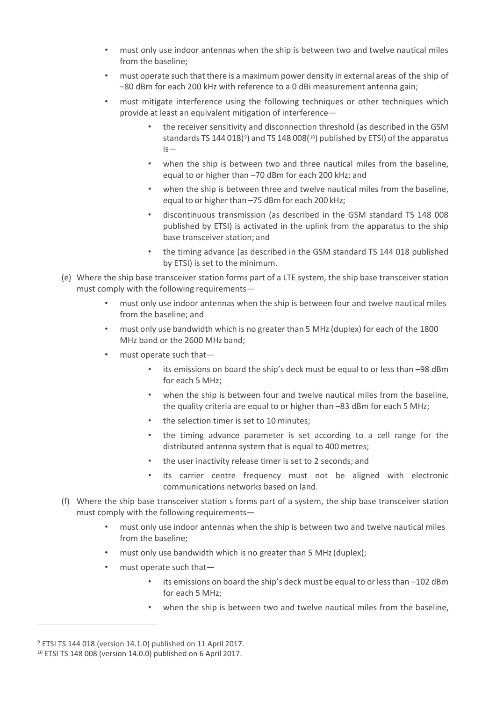- must only use indoor antennas when the ship is between two and twelve nautical miles from the baseline;
- must operate such that there is a maximum power density in external areas of the ship of –80 dBm for each 200 kHz with reference to a 0 dBi measurement antenna gain;
- must mitigate interference using the following techniques or other techniques which provide at least an equivalent mitigation of interference—
	- the receiver sensitivity and disconnection threshold (as described in the GSM standards TS 144 018(<sup>[9](#page-12-0)</sup>) and TS 148 008(<sup>[10](#page-12-1)</sup>) published by ETSI) of the apparatus is—
	- when the ship is between two and three nautical miles from the baseline, equal to or higher than –70 dBm for each 200 kHz; and
	- when the ship is between three and twelve nautical miles from the baseline, equal to or higher than –75 dBm for each 200 kHz;
	- discontinuous transmission (as described in the GSM standard TS 148 008 published by ETSI) is activated in the uplink from the apparatus to the ship base transceiver station; and
	- the timing advance (as described in the GSM standard TS 144 018 published by ETSI) is set to the minimum.
- (e) Where the ship base transceiver station forms part of a LTE system, the ship base transceiver station must comply with the following requirements—
	- must only use indoor antennas when the ship is between four and twelve nautical miles from the baseline; and
	- must only use bandwidth which is no greater than 5 MHz(duplex) for each of the 1800 MHz band or the 2600 MHz band;
	- must operate such that—
		- its emissions on board the ship's deck must be equal to or less than –98 dBm for each 5 MHz;
		- when the ship is between four and twelve nautical miles from the baseline, the quality criteria are equal to or higher than –83 dBm for each 5 MHz;
		- the selection timer is set to 10 minutes;
		- the timing advance parameter is set according to a cell range for the distributed antenna system that is equal to 400 metres;
		- the user inactivity release timer is set to 2 seconds; and
		- its carrier centre frequency must not be aligned with electronic communications networks based on land.
- (f) Where the ship base transceiver station s forms part of a system, the ship base transceiver station must comply with the following requirements—
	- must only use indoor antennas when the ship is between two and twelve nautical miles from the baseline;
	- must only use bandwidth which is no greater than 5 MHz (duplex);
	- must operate such that—
		- its emissions on board the ship's deck must be equal to or less than –102 dBm for each 5 MHz;
		- when the ship is between two and twelve nautical miles from the baseline.

<span id="page-12-0"></span><sup>9</sup> ETSI TS 144 018 (version 14.1.0) published on 11 April 2017.

<span id="page-12-1"></span><sup>10</sup> ETSI TS 148 008 (version 14.0.0) published on 6 April 2017.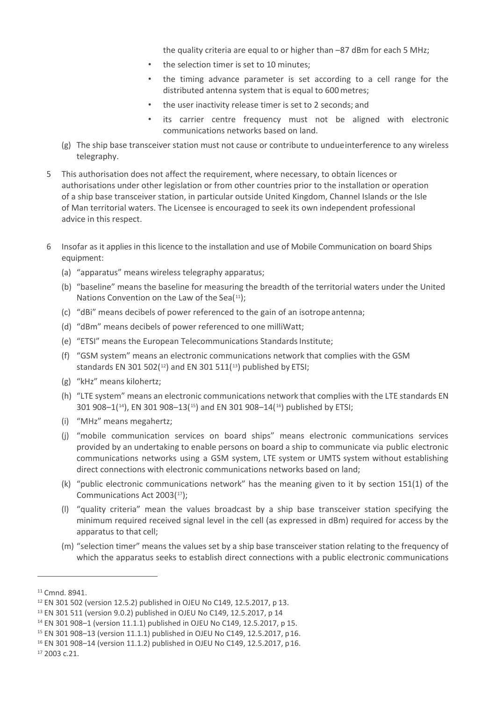the quality criteria are equal to or higher than –87 dBm for each 5 MHz;

- the selection timer is set to 10 minutes;
- the timing advance parameter is set according to a cell range for the distributed antenna system that is equal to 600metres;
- the user inactivity release timer is set to 2 seconds; and
- its carrier centre frequency must not be aligned with electronic communications networks based on land.
- (g) The ship base transceiver station must not cause or contribute to undueinterference to any wireless telegraphy.
- 5 This authorisation does not affect the requirement, where necessary, to obtain licences or authorisations under other legislation or from other countries prior to the installation or operation of a ship base transceiver station, in particular outside United Kingdom, Channel Islands or the Isle of Man territorial waters. The Licensee is encouraged to seek its own independent professional advice in this respect.
- 6 Insofar as it appliesin this licence to the installation and use of Mobile Communication on board Ships equipment:
	- (a) "apparatus" means wireless telegraphy apparatus;
	- (b) "baseline" means the baseline for measuring the breadth of the territorial waters under the United Nations Convention on the Law of the Sea([11\)](#page-13-0):
	- (c) "dBi" means decibels of power referenced to the gain of an isotrope antenna;
	- (d) "dBm" means decibels of power referenced to one milliWatt;
	- (e) "ETSI" means the European Telecommunications Standards Institute;
	- (f) "GSM system" means an electronic communications network that complies with the GSM standards EN 301 502( $12$ ) and EN 301 511( $13$ ) published by ETSI;
	- (g) "kHz" means kilohertz;
	- (h) "LTE system" means an electronic communications network that complies with the LTE standards EN 301 908–1([14\)](#page-13-3), EN 301 908–13([15](#page-13-4)) and EN 301 908–14([16\)](#page-13-5) published by ETSI;
	- (i) "MHz" means megahertz;
	- (j) "mobile communication services on board ships" means electronic communications services provided by an undertaking to enable persons on board a ship to communicate via public electronic communications networks using a GSM system, LTE system or UMTS system without establishing direct connections with electronic communications networks based on land;
	- (k) "public electronic communications network" has the meaning given to it by section 151(1) of the Communications Act 2003([17](#page-13-6));
	- (l) "quality criteria" mean the values broadcast by a ship base transceiver station specifying the minimum required received signal level in the cell (as expressed in dBm) required for access by the apparatus to that cell;
	- (m) "selection timer" means the values set by a ship base transceiver station relating to the frequency of which the apparatus seeks to establish direct connections with a public electronic communications

<span id="page-13-0"></span><sup>11</sup> Cmnd. 8941.

<span id="page-13-1"></span><sup>12</sup> EN 301 502 (version 12.5.2) published in OJEU No C149, 12.5.2017, p 13.

<span id="page-13-2"></span><sup>13</sup> EN 301 511 (version 9.0.2) published in OJEU No C149, 12.5.2017, p 14

<span id="page-13-3"></span><sup>14</sup> EN 301 908–1 (version 11.1.1) published in OJEU No C149, 12.5.2017, p 15.

<span id="page-13-4"></span><sup>15</sup> EN 301 908–13 (version 11.1.1) published in OJEU No C149, 12.5.2017, p16.

<span id="page-13-5"></span><sup>16</sup> EN 301 908–14 (version 11.1.2) published in OJEU No C149, 12.5.2017, p16.

<span id="page-13-6"></span><sup>17</sup> 2003 c.21.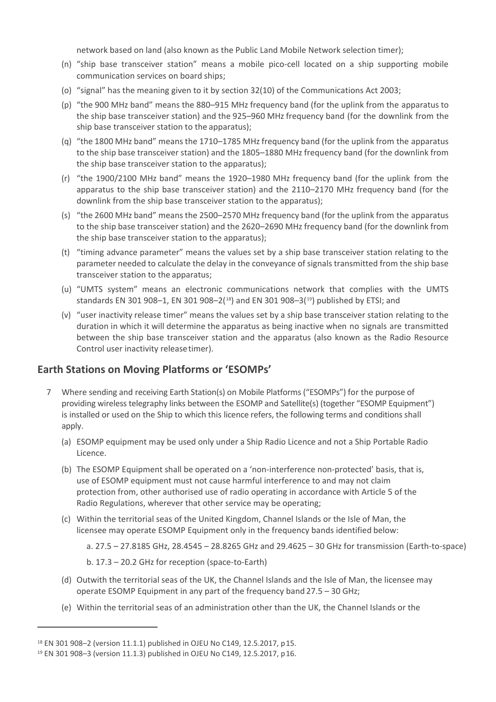network based on land (also known as the Public Land Mobile Network selection timer);

- (n) "ship base transceiver station" means a mobile pico-cell located on a ship supporting mobile communication services on board ships;
- (o) "signal" has the meaning given to it by section 32(10) of the Communications Act 2003;
- (p) "the 900 MHz band" means the 880–915 MHz frequency band (for the uplink from the apparatus to the ship base transceiver station) and the 925–960 MHz frequency band (for the downlink from the ship base transceiver station to the apparatus);
- (q) "the 1800 MHz band" means the 1710–1785 MHz frequency band (for the uplink from the apparatus to the ship base transceiver station) and the 1805–1880 MHz frequency band (for the downlink from the ship base transceiver station to the apparatus);
- (r) "the 1900/2100 MHz band" means the 1920–1980 MHz frequency band (for the uplink from the apparatus to the ship base transceiver station) and the 2110–2170 MHz frequency band (for the downlink from the ship base transceiver station to the apparatus);
- (s) "the 2600 MHz band" means the 2500–2570 MHz frequency band (for the uplink from the apparatus to the ship base transceiver station) and the 2620–2690 MHz frequency band (for the downlink from the ship base transceiver station to the apparatus);
- (t) "timing advance parameter" means the values set by a ship base transceiver station relating to the parameter needed to calculate the delay in the conveyance of signals transmitted from the ship base transceiver station to the apparatus;
- (u) "UMTS system" means an electronic communications network that complies with the UMTS standards EN 301 908-1, EN 301 908-2( $18$ ) and EN 301 908-3( $19$ ) published by ETSI; and
- (v) "user inactivity release timer" means the values set by a ship base transceiver station relating to the duration in which it will determine the apparatus as being inactive when no signals are transmitted between the ship base transceiver station and the apparatus (also known as the Radio Resource Control user inactivity releasetimer).

#### **Earth Stations on Moving Platforms or 'ESOMPs'**

- 7 Where sending and receiving Earth Station(s) on Mobile Platforms ("ESOMPs") for the purpose of providing wireless telegraphy links between the ESOMP and Satellite(s) (together "ESOMP Equipment") is installed or used on the Ship to which this licence refers, the following terms and conditions shall apply.
	- (a) ESOMP equipment may be used only under a Ship Radio Licence and not a Ship Portable Radio Licence.
	- (b) The ESOMP Equipment shall be operated on a 'non-interference non-protected' basis, that is, use of ESOMP equipment must not cause harmful interference to and may not claim protection from, other authorised use of radio operating in accordance with Article 5 of the Radio Regulations, wherever that other service may be operating;
	- (c) Within the territorial seas of the United Kingdom, Channel Islands or the Isle of Man, the licensee may operate ESOMP Equipment only in the frequency bands identified below:
		- a. 27.5 27.8185 GHz, 28.4545 28.8265 GHz and 29.4625 30 GHz for transmission (Earth-to-space)

b. 17.3 – 20.2 GHz for reception (space-to-Earth)

- (d) Outwith the territorial seas of the UK, the Channel Islands and the Isle of Man, the licensee may operate ESOMP Equipment in any part of the frequency band 27.5 – 30 GHz;
- (e) Within the territorial seas of an administration other than the UK, the Channel Islands or the

<span id="page-14-0"></span><sup>18</sup> EN 301 908–2 (version 11.1.1) published in OJEU No C149, 12.5.2017, p15.

<span id="page-14-1"></span><sup>19</sup> EN 301 908–3 (version 11.1.3) published in OJEU No C149, 12.5.2017, p16.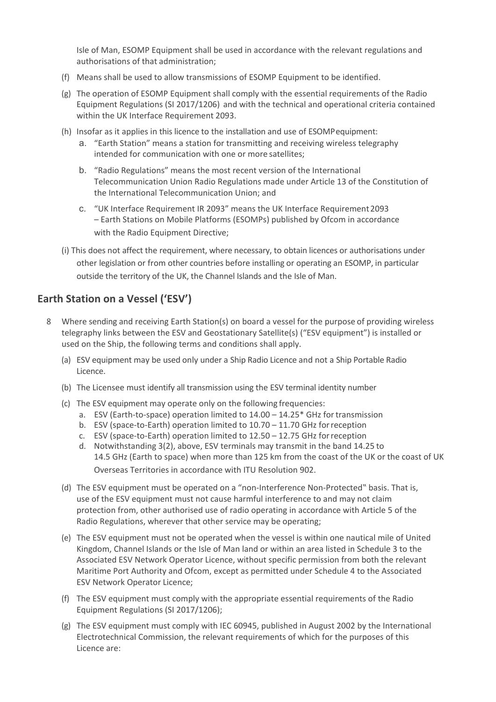Isle of Man, ESOMP Equipment shall be used in accordance with the relevant regulations and authorisations of that administration;

- (f) Means shall be used to allow transmissions of ESOMP Equipment to be identified.
- (g) The operation of ESOMP Equipment shall comply with the essential requirements of the Radio Equipment Regulations (SI 2017/1206) and with the technical and operational criteria contained within the UK Interface Requirement 2093.
- (h) Insofar as it applies in this licence to the installation and use of ESOMPequipment:
	- a. "Earth Station" means a station for transmitting and receiving wireless telegraphy intended for communication with one or more satellites;
	- b. "Radio Regulations" means the most recent version of the International Telecommunication Union Radio Regulations made under Article 13 of the Constitution of the International Telecommunication Union; and
	- c. "UK Interface Requirement IR 2093" means the UK Interface Requirement2093 – Earth Stations on Mobile Platforms (ESOMPs) published by Ofcom in accordance with the Radio Equipment Directive;
- (i) This does not affect the requirement, where necessary, to obtain licences or authorisations under other legislation or from other countries before installing or operating an ESOMP, in particular outside the territory of the UK, the Channel Islands and the Isle of Man.

#### **Earth Station on a Vessel ('ESV')**

- 8 Where sending and receiving Earth Station(s) on board a vessel for the purpose of providing wireless telegraphy links between the ESV and Geostationary Satellite(s) ("ESV equipment") is installed or used on the Ship, the following terms and conditions shall apply.
	- (a) ESV equipment may be used only under a Ship Radio Licence and not a Ship Portable Radio Licence.
	- (b) The Licensee must identify all transmission using the ESV terminal identity number
	- (c) The ESV equipment may operate only on the following frequencies:
		- a. ESV (Earth-to-space) operation limited to 14.00 14.25\* GHz for transmission
		- b. ESV (space-to-Earth) operation limited to 10.70 11.70 GHz forreception
		- c. ESV (space-to-Earth) operation limited to 12.50 12.75 GHz forreception
		- d. Notwithstanding 3(2), above, ESV terminals may transmit in the band 14.25 to 14.5 GHz (Earth to space) when more than 125 km from the coast of the UK or the coast of UK Overseas Territories in accordance with ITU Resolution 902.
	- (d) The ESV equipment must be operated on a "non-Interference Non-Protected" basis. That is, use of the ESV equipment must not cause harmful interference to and may not claim protection from, other authorised use of radio operating in accordance with Article 5 of the Radio Regulations, wherever that other service may be operating;
	- (e) The ESV equipment must not be operated when the vessel is within one nautical mile of United Kingdom, Channel Islands or the Isle of Man land or within an area listed in Schedule 3 to the Associated ESV Network Operator Licence, without specific permission from both the relevant Maritime Port Authority and Ofcom, except as permitted under Schedule 4 to the Associated ESV Network Operator Licence;
	- (f) The ESV equipment must comply with the appropriate essential requirements of the Radio Equipment Regulations (SI 2017/1206);
	- (g) The ESV equipment must comply with IEC 60945, published in August 2002 by the International Electrotechnical Commission, the relevant requirements of which for the purposes of this Licence are: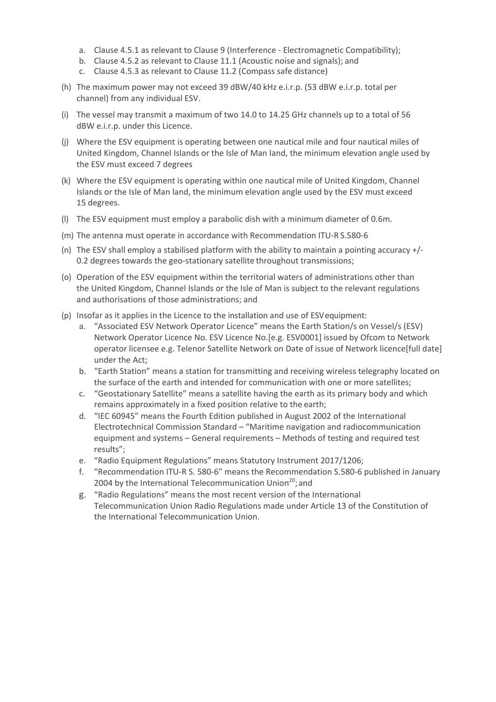- a. Clause 4.5.1 as relevant to Clause 9 (Interference Electromagnetic Compatibility);
- b. Clause 4.5.2 as relevant to Clause 11.1 (Acoustic noise and signals); and
- c. Clause 4.5.3 as relevant to Clause 11.2 (Compass safe distance)
- (h) The maximum power may not exceed 39 dBW/40 kHz e.i.r.p. (53 dBW e.i.r.p. total per channel) from any individual ESV.
- (i) The vessel may transmit a maximum of two 14.0 to 14.25 GHz channels up to a total of 56 dBW e.i.r.p. under this Licence.
- (j) Where the ESV equipment is operating between one nautical mile and four nautical miles of United Kingdom, Channel Islands or the Isle of Man land, the minimum elevation angle used by the ESV must exceed 7 degrees
- (k) Where the ESV equipment is operating within one nautical mile of United Kingdom, Channel Islands or the Isle of Man land, the minimum elevation angle used by the ESV must exceed 15 degrees.
- (l) The ESV equipment must employ a parabolic dish with a minimum diameter of 0.6m.
- (m) The antenna must operate in accordance with Recommendation ITU-R S.580-6
- (n) The ESV shall employ a stabilised platform with the ability to maintain a pointing accuracy +/- 0.2 degrees towards the geo-stationary satellite throughout transmissions;
- (o) Operation of the ESV equipment within the territorial waters of administrations other than the United Kingdom, Channel Islands or the Isle of Man is subject to the relevant regulations and authorisations of those administrations; and
- (p) Insofar as it applies in the Licence to the installation and use of ESVequipment:
	- a. "Associated ESV Network Operator Licence" means the Earth Station/s on Vessel/s (ESV) Network Operator Licence No. ESV Licence No.[e.g. ESV0001] issued by Ofcom to Network operator licensee e.g. Telenor Satellite Network on Date of issue of Network licence[full date] under the Act;
	- b. "Earth Station" means a station for transmitting and receiving wireless telegraphy located on the surface of the earth and intended for communication with one or more satellites;
	- c. "Geostationary Satellite" means a satellite having the earth as its primary body and which remains approximately in a fixed position relative to the earth;
	- d. "IEC 60945" means the Fourth Edition published in August 2002 of the International Electrotechnical Commission Standard – "Maritime navigation and radiocommunication equipment and systems – General requirements – Methods of testing and required test results";
	- e. "Radio Equipment Regulations" means Statutory Instrument 2017/1206;
	- f. "Recommendation ITU-R S. 580-6" means the Recommendation S.580-6 published in January 2004 by the International Telecommunication Union $20$ ; and
	- g. "Radio Regulations" means the most recent version of the International Telecommunication Union Radio Regulations made under Article 13 of the Constitution of the International Telecommunication Union.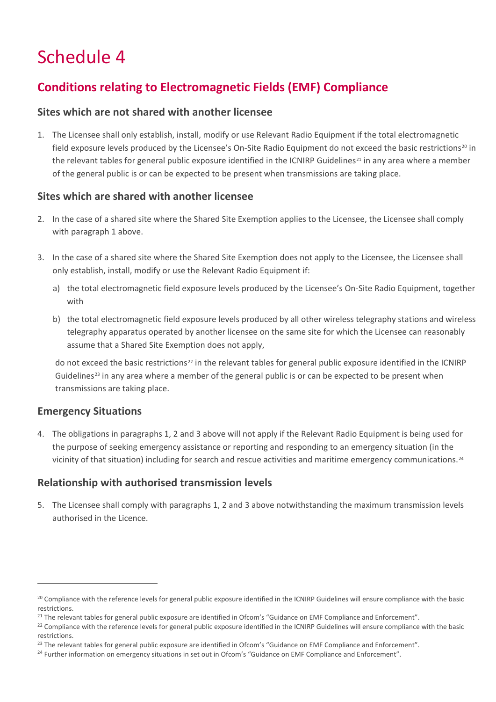# Schedule 4

## **Conditions relating to Electromagnetic Fields (EMF) Compliance**

#### **Sites which are not shared with another licensee**

1. The Licensee shall only establish, install, modify or use Relevant Radio Equipment if the total electromagnetic field exposure levels produced by the Licensee's On-Site Radio Equipment do not exceed the basic restrictions<sup>[20](#page-17-0)</sup> in the relevant tables for general public exposure identified in the ICNIRP Guidelines<sup>[21](#page-17-1)</sup> in any area where a member of the general public is or can be expected to be present when transmissions are taking place.

#### **Sites which are shared with another licensee**

- 2. In the case of a shared site where the Shared Site Exemption applies to the Licensee, the Licensee shall comply with paragraph 1 above.
- 3. In the case of a shared site where the Shared Site Exemption does not apply to the Licensee, the Licensee shall only establish, install, modify or use the Relevant Radio Equipment if:
	- a) the total electromagnetic field exposure levels produced by the Licensee's On-Site Radio Equipment, together with
	- b) the total electromagnetic field exposure levels produced by all other wireless telegraphy stations and wireless telegraphy apparatus operated by another licensee on the same site for which the Licensee can reasonably assume that a Shared Site Exemption does not apply,

do not exceed the basic restrictions<sup>[22](#page-17-2)</sup> in the relevant tables for general public exposure identified in the ICNIRP Guidelines<sup>[23](#page-17-3)</sup> in any area where a member of the general public is or can be expected to be present when transmissions are taking place.

#### **Emergency Situations**

4. The obligations in paragraphs 1, 2 and 3 above will not apply if the Relevant Radio Equipment is being used for the purpose of seeking emergency assistance or reporting and responding to an emergency situation (in the vicinity of that situation) including for search and rescue activities and maritime emergency communications.<sup>[24](#page-17-4)</sup>

#### **Relationship with authorised transmission levels**

5. The Licensee shall comply with paragraphs 1, 2 and 3 above notwithstanding the maximum transmission levels authorised in the Licence.

<span id="page-17-0"></span><sup>&</sup>lt;sup>20</sup> Compliance with the reference levels for general public exposure identified in the ICNIRP Guidelines will ensure compliance with the basic restrictions.

<span id="page-17-2"></span><span id="page-17-1"></span> $^{21}$  The relevant tables for general public exposure are identified in Ofcom's "Guidance on EMF Compliance and Enforcement".<br><sup>22</sup> Compliance with the reference levels for general public exposure identified in the ICNIRP restrictions.

<span id="page-17-3"></span><sup>&</sup>lt;sup>23</sup> The relevant tables for general public exposure are identified in Ofcom's "Guidance on EMF Compliance and Enforcement".

<span id="page-17-4"></span><sup>&</sup>lt;sup>24</sup> Further information on emergency situations in set out in Ofcom's "Guidance on EMF Compliance and Enforcement".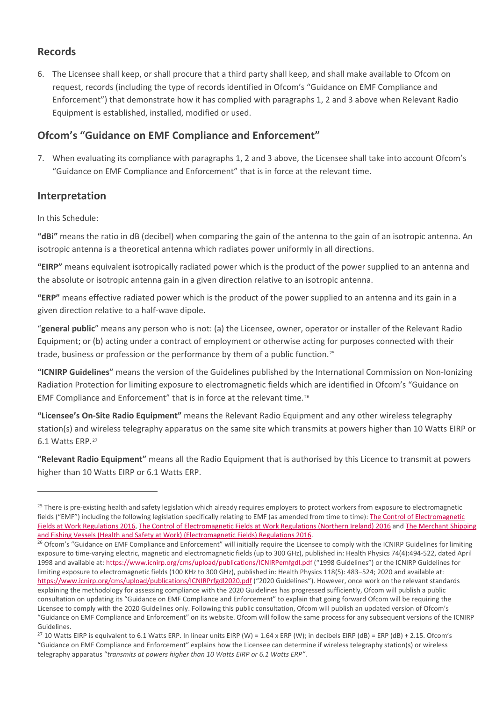#### **Records**

6. The Licensee shall keep, or shall procure that a third party shall keep, and shall make available to Ofcom on request, records (including the type of records identified in Ofcom's "Guidance on EMF Compliance and Enforcement") that demonstrate how it has complied with paragraphs 1, 2 and 3 above when Relevant Radio Equipment is established, installed, modified or used.

### **Ofcom's "Guidance on EMF Compliance and Enforcement"**

7. When evaluating its compliance with paragraphs 1, 2 and 3 above, the Licensee shall take into account Ofcom's "Guidance on EMF Compliance and Enforcement" that is in force at the relevant time.

#### **Interpretation**

In this Schedule:

**"dBi"** means the ratio in dB (decibel) when comparing the gain of the antenna to the gain of an isotropic antenna. An isotropic antenna is a theoretical antenna which radiates power uniformly in all directions.

**"EIRP"** means equivalent isotropically radiated power which is the product of the power supplied to an antenna and the absolute or isotropic antenna gain in a given direction relative to an isotropic antenna.

**"ERP"** means effective radiated power which is the product of the power supplied to an antenna and its gain in a given direction relative to a half-wave dipole.

"**general public**" means any person who is not: (a) the Licensee, owner, operator or installer of the Relevant Radio Equipment; or (b) acting under a contract of employment or otherwise acting for purposes connected with their trade, business or profession or the performance by them of a public function.[25](#page-18-0)

**"ICNIRP Guidelines"** means the version of the Guidelines published by the International Commission on Non-Ionizing Radiation Protection for limiting exposure to electromagnetic fields which are identified in Ofcom's "Guidance on EMF Compliance and Enforcement" that is in force at the relevant time.[26](#page-18-1)

**"Licensee's On-Site Radio Equipment"** means the Relevant Radio Equipment and any other wireless telegraphy station(s) and wireless telegraphy apparatus on the same site which transmits at powers higher than 10 Watts EIRP or 6.1 Watts ERP.[27](#page-18-2)

**"Relevant Radio Equipment"** means all the Radio Equipment that is authorised by this Licence to transmit at powers higher than 10 Watts EIRP or 6.1 Watts ERP.

<span id="page-18-0"></span><sup>&</sup>lt;sup>25</sup> There is pre-existing health and safety legislation which already requires employers to protect workers from exposure to electromagnetic fields ("EMF") including the following legislation specifically relating to EMF (as amended from time to time): [The Control of Electromagnetic](https://www.legislation.gov.uk/uksi/2016/588/pdfs/uksi_20160588_en.pdf)  [Fields at Work Regulations 2016,](https://www.legislation.gov.uk/uksi/2016/588/pdfs/uksi_20160588_en.pdf) [The Control of Electromagnetic Fields at Work Regulations \(Northern Ireland\) 2016](https://www.legislation.gov.uk/nisr/2016/266/contents/made) an[d The Merchant Shipping](https://www.legislation.gov.uk/uksi/2016/1026/contents/made)  [and Fishing Vessels \(Health and Safety at Work\) \(Electromagnetic Fields\) Regulations 2016.](https://www.legislation.gov.uk/uksi/2016/1026/contents/made)

<span id="page-18-1"></span><sup>&</sup>lt;sup>26</sup> Ofcom's "Guidance on EMF Compliance and Enforcement" will initially require the Licensee to comply with the ICNIRP Guidelines for limiting exposure to time-varying electric, magnetic and electromagnetic fields (up to 300 GHz), published in: Health Physics 74(4):494-522, dated April 1998 and available at[: https://www.icnirp.org/cms/upload/publications/ICNIRPemfgdl.pdf](https://www.icnirp.org/cms/upload/publications/ICNIRPemfgdl.pdf) ("1998 Guidelines") or the ICNIRP Guidelines for limiting exposure to electromagnetic fields (100 KHz to 300 GHz), published in: Health Physics 118(5): 483–524; 2020 and available at: <https://www.icnirp.org/cms/upload/publications/ICNIRPrfgdl2020.pdf> ("2020 Guidelines"). However, once work on the relevant standards explaining the methodology for assessing compliance with the 2020 Guidelines has progressed sufficiently, Ofcom will publish a public consultation on updating its "Guidance on EMF Compliance and Enforcement" to explain that going forward Ofcom will be requiring the Licensee to comply with the 2020 Guidelines only. Following this public consultation, Ofcom will publish an updated version of Ofcom's "Guidance on EMF Compliance and Enforcement" on its website. Ofcom will follow the same process for any subsequent versions of the ICNIRP Guidelines.

<span id="page-18-2"></span><sup>&</sup>lt;sup>27</sup> 10 Watts EIRP is equivalent to 6.1 Watts ERP. In linear units EIRP (W) = 1.64 x ERP (W); in decibels EIRP (dB) = ERP (dB) + 2.15. Ofcom's "Guidance on EMF Compliance and Enforcement" explains how the Licensee can determine if wireless telegraphy station(s) or wireless telegraphy apparatus "*transmits at powers higher than 10 Watts EIRP or 6.1 Watts ERP"*.